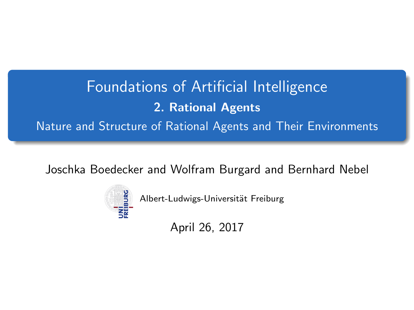# <span id="page-0-0"></span>Foundations of Artificial Intelligence 2. Rational Agents Nature and Structure of Rational Agents and Their Environments

Joschka Boedecker and Wolfram Burgard and Bernhard Nebel



Albert-Ludwigs-Universität Freiburg

April 26, 2017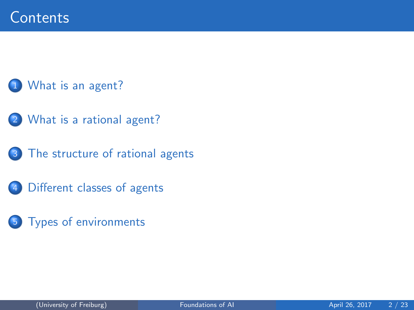### [What is an agent?](#page-2-0)

- 2 [What is a rational agent?](#page-3-0)
	- [The structure of rational agents](#page-7-0)
- 4 [Different classes of agents](#page-8-0)
- 5 [Types of environments](#page-20-0)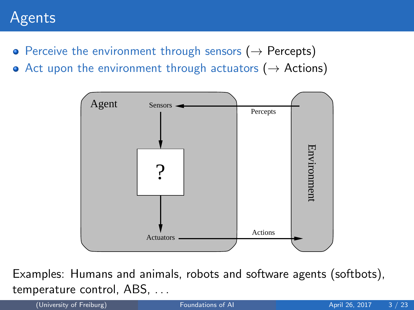## <span id="page-2-0"></span>Agents

- Perceive the environment through sensors ( $\rightarrow$  Percepts)
- Act upon the environment through actuators ( $\rightarrow$  Actions)



Examples: Humans and animals, robots and software agents (softbots), temperature control, ABS, . . .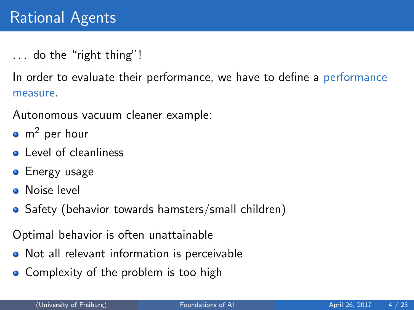<span id="page-3-0"></span>... do the "right thing"!

In order to evaluate their performance, we have to define a performance measure.

Autonomous vacuum cleaner example:

- $\bullet$  m<sup>2</sup> per hour
- **Q** Level of cleanliness
- **•** Energy usage
- **O** Noise level
- Safety (behavior towards hamsters/small children)

Optimal behavior is often unattainable

- Not all relevant information is perceivable
- Complexity of the problem is too high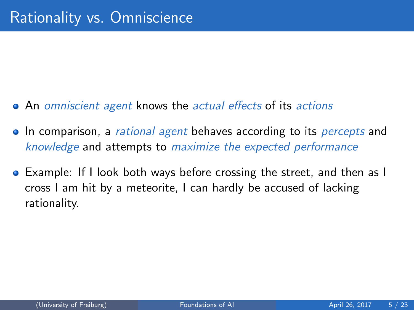- An omniscient agent knows the actual effects of its actions
- In comparison, a *rational agent* behaves according to its *percepts* and knowledge and attempts to maximize the expected performance
- Example: If I look both ways before crossing the street, and then as I cross I am hit by a meteorite, I can hardly be accused of lacking rationality.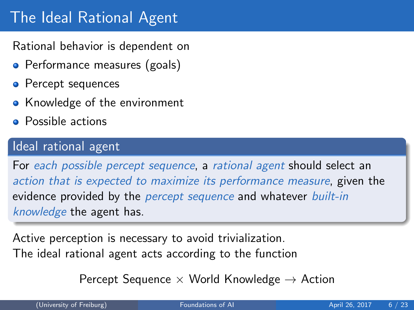# The Ideal Rational Agent

Rational behavior is dependent on

- Performance measures (goals)
- Percept sequences
- Knowledge of the environment
- Possible actions

### Ideal rational agent

For each possible percept sequence, a rational agent should select an action that is expected to maximize its performance measure, given the evidence provided by the *percept sequence* and whatever *built-in* knowledge the agent has.

Active perception is necessary to avoid trivialization. The ideal rational agent acts according to the function

Percept Sequence  $\times$  World Knowledge  $\rightarrow$  Action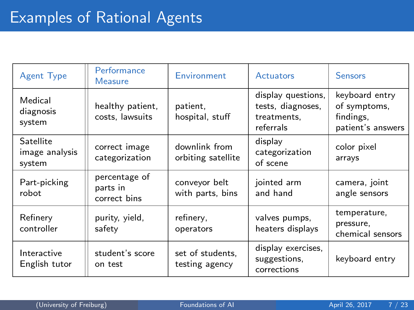| <b>Agent Type</b>                     | Performance<br><b>Measure</b>             | Environment                         | Actuators                                                           | <b>Sensors</b>                                                   |  |
|---------------------------------------|-------------------------------------------|-------------------------------------|---------------------------------------------------------------------|------------------------------------------------------------------|--|
| Medical<br>diagnosis<br>system        | healthy patient,<br>costs, lawsuits       | patient.<br>hospital, stuff         | display questions,<br>tests, diagnoses,<br>treatments,<br>referrals | keyboard entry<br>of symptoms,<br>findings.<br>patient's answers |  |
| Satellite<br>image analysis<br>system | correct image<br>categorization           | downlink from<br>orbiting satellite | display<br>categorization<br>of scene                               | color pixel<br>arrays                                            |  |
| Part-picking<br>robot                 | percentage of<br>parts in<br>correct bins | conveyor belt<br>with parts, bins   | jointed arm<br>and hand                                             | camera, joint<br>angle sensors                                   |  |
| Refinery<br>controller                | purity, yield,<br>safety                  | refinery,<br>operators              | valves pumps,<br>heaters displays                                   | temperature,<br>pressure,<br>chemical sensors                    |  |
| Interactive<br>English tutor          | student's score<br>on test                | set of students,<br>testing agency  | display exercises,<br>suggestions,<br>corrections                   | keyboard entry                                                   |  |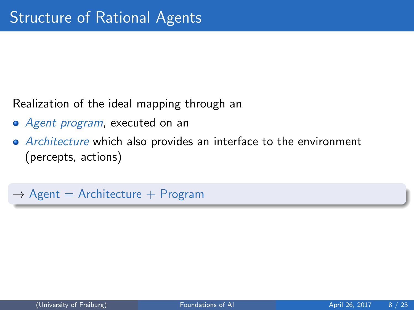<span id="page-7-0"></span>Realization of the ideal mapping through an

- Agent program, executed on an
- Architecture which also provides an interface to the environment (percepts, actions)

 $\rightarrow$  Agent = Architecture + Program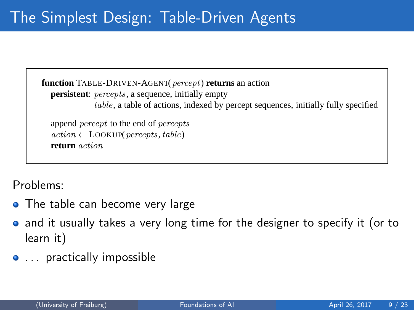<span id="page-8-0"></span>**function** TABLE-DRIVEN-AGENT(*percept*) **returns** an action **persistent**: *percepts*, a sequence, initially empty table, a table of actions, indexed by percept sequences, initially fully specified

append percept to the end of percepts  $action \leftarrow \text{LOOKUP}(percepts, table)$ **return** action

 $\mathsf{R}^{\mathsf{c}}$ Problems:

- The table can become very large
- **function** REFLEX-VACUUM-AGENT([location,status]) **returns** an action and it usually takes a very long time for the designer to specify it (or to learn it)
- ... practically impossible **else if** location = A **then return** Right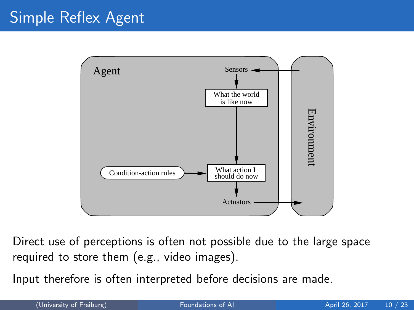# Simple Reflex Agent



Direct use of perceptions is often not possible due to the large space required to store them (e.g., video images).

Input therefore is often interpreted before decisions are made.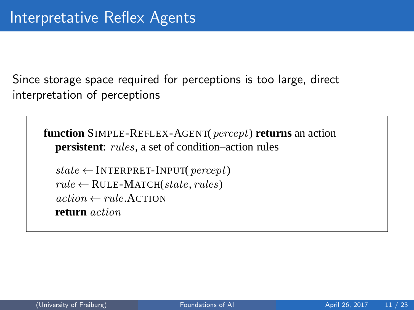Since storage space required for perceptions is too large, direct interpretation of perceptions

**function** SIMPLE-REFLEX-AGENT(percept) **returns** an action **persistent**: *rules*, a set of condition–action rules

 $state \leftarrow$  INTERPRET-INPUT(*percept*)  $rule \leftarrow$  RULE-MATCH(state, rules)  $action \leftarrow rule$  ACTION **return** action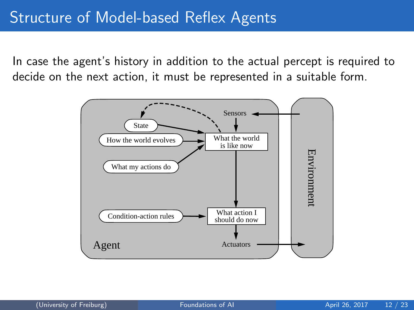In case the agent's history in addition to the actual percept is required to decide on the next action, it must be represented in a suitable form.

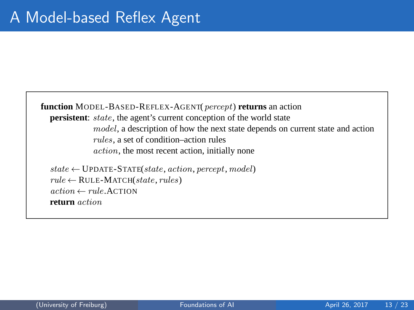**function** MODEL-BASED-REFLEX-AGENT(percept) **returns** an action **persistent**: *state*, the agent's current conception of the world state model, a description of how the next state depends on current state and action rules, a set of condition–action rules action, the most recent action, initially none  $state \leftarrow \text{UPDATE-STATE}(state, action, percept, model)$  $rule \leftarrow$  RULE-MATCH(state, rules)

 $action \leftarrow rule$  ACTION **return** action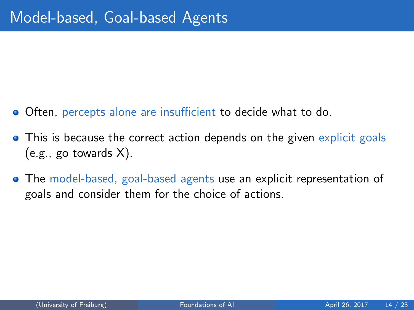- Often, percepts alone are insufficient to decide what to do.
- This is because the correct action depends on the given explicit goals (e.g., go towards X).
- The model-based, goal-based agents use an explicit representation of goals and consider them for the choice of actions.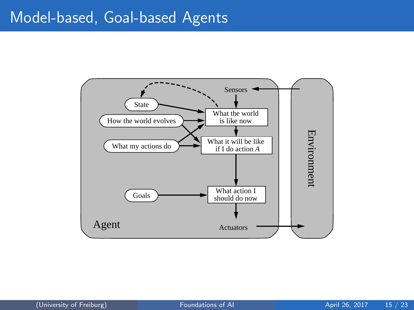### Model-based, Goal-based Agents

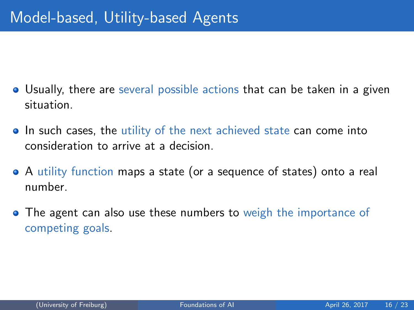- Usually, there are several possible actions that can be taken in a given situation.
- In such cases, the utility of the next achieved state can come into consideration to arrive at a decision.
- A utility function maps a state (or a sequence of states) onto a real number.
- The agent can also use these numbers to weigh the importance of competing goals.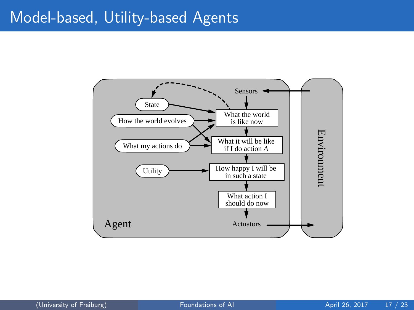### Model-based, Utility-based Agents

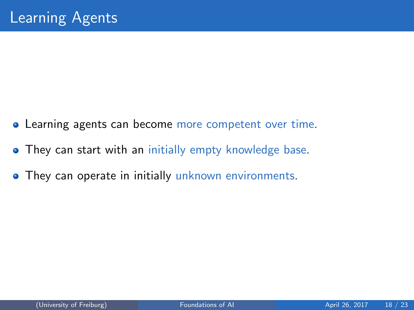- Learning agents can become more competent over time.
- **They can start with an initially empty knowledge base.**
- **They can operate in initially unknown environments.**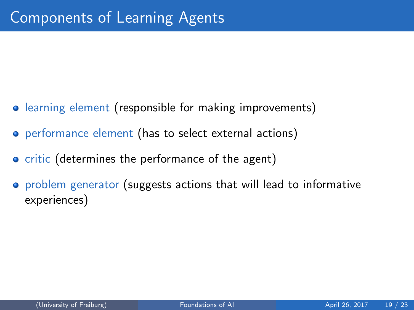- learning element (responsible for making improvements)
- **•** performance element (has to select external actions)
- **•** critic (determines the performance of the agent)
- problem generator (suggests actions that will lead to informative experiences)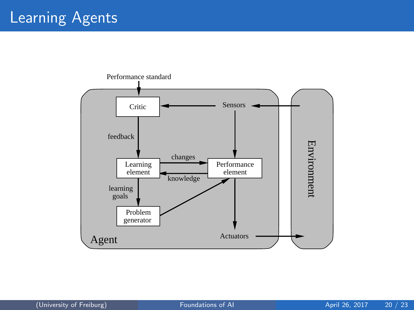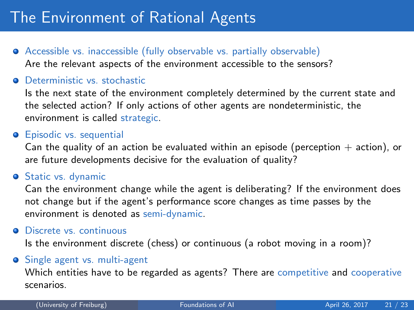# <span id="page-20-0"></span>The Environment of Rational Agents

- Accessible vs. inaccessible (fully observable vs. partially observable) Are the relevant aspects of the environment accessible to the sensors?
- **O** Deterministic vs. stochastic

Is the next state of the environment completely determined by the current state and the selected action? If only actions of other agents are nondeterministic, the environment is called strategic.

#### **•** Episodic vs. sequential

Can the quality of an action be evaluated within an episode (perception  $+$  action), or are future developments decisive for the evaluation of quality?

#### **Static vs. dynamic**

Can the environment change while the agent is deliberating? If the environment does not change but if the agent's performance score changes as time passes by the environment is denoted as semi-dynamic.

#### **O** Discrete vs. continuous

Is the environment discrete (chess) or continuous (a robot moving in a room)?

#### **•** Single agent vs. multi-agent

Which entities have to be regarded as agents? There are competitive and cooperative scenarios.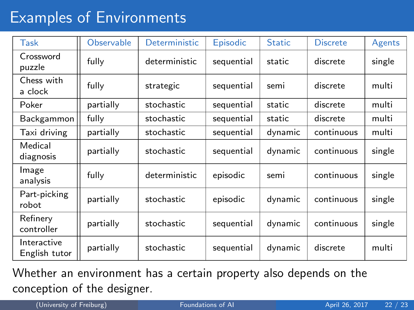# Examples of Environments

| Task                         | <b>Observable</b> | <b>Deterministic</b> | Episodic   | <b>Static</b> | <b>Discrete</b> | Agents |
|------------------------------|-------------------|----------------------|------------|---------------|-----------------|--------|
| Crossword<br>puzzle          | fully             | deterministic        | sequential | static        | discrete        | single |
| Chess with<br>a clock        | fully             | strategic            | sequential | semi          | discrete        | multi  |
| Poker                        | partially         | stochastic           | sequential | static        | discrete        | multi  |
| Backgammon                   | fully             | stochastic           | sequential | static        | discrete        | multi  |
| Taxi driving                 | partially         | stochastic           | sequential | dynamic       | continuous      | multi  |
| Medical<br>diagnosis         | partially         | stochastic           | sequential | dynamic       | continuous      | single |
| Image<br>analysis            | fully             | deterministic        | episodic   | semi          | continuous      | single |
| Part-picking<br>robot        | partially         | stochastic           | episodic   | dynamic       | continuous      | single |
| Refinery<br>controller       | partially         | stochastic           | sequential | dynamic       | continuous      | single |
| Interactive<br>English tutor | partially         | stochastic           | sequential | dynamic       | discrete        | multi  |

Whether an environment has a certain property also depends on the conception of the designer.